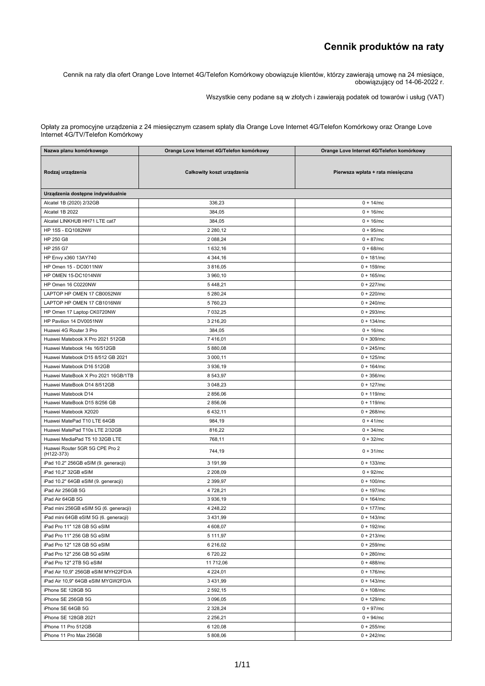## **Cennik produktów na raty**

Cennik na raty dla ofert Orange Love Internet 4G/Telefon Komórkowy obowiązuje klientów, którzy zawierają umowę na 24 miesiące, obowiązujący od 14-06-2022 r.

Wszystkie ceny podane są <sup>w</sup> złotych i zawierają podatek od towarów i usług (VAT)

Opłaty za promocyjne urządzenia <sup>z</sup> 24 miesięcznym czasem spłaty dla Orange Love Internet 4G/Telefon Komórkowy oraz Orange Love Internet 4G/TV/Telefon Komórkowy

| Nazwa planu komórkowego                      | Orange Love Internet 4G/Telefon komórkowy | Orange Love Internet 4G/Telefon komórkowy |
|----------------------------------------------|-------------------------------------------|-------------------------------------------|
| Rodzaj urządzenia                            | Całkowity koszt urządzenia                | Pierwsza wpłata + rata miesięczna         |
| Urządzenia dostępne indywidualnie            |                                           |                                           |
| Alcatel 1B (2020) 2/32GB                     | 336,23                                    | $0 + 14$ /mc                              |
| Alcatel 1B 2022                              | 384,05                                    | $0 + 16$ /mc                              |
| Alcatel LINKHUB HH71 LTE cat7                | 384,05                                    | $0 + 16$ /mc                              |
| HP 15S - EQ1082NW                            | 2 2 8 0, 1 2                              | $0 + 95/mc$                               |
| HP 250 G8                                    | 2 088,24                                  | $0 + 87/mc$                               |
| HP 255 G7                                    | 1 632,16                                  | $0 + 68$ /mc                              |
| HP Envy x360 13AY740                         | 4 344,16                                  | $0 + 181/mc$                              |
| HP Omen 15 - DC0011NW                        | 3 816,05                                  | $0 + 159$ /mc                             |
| HP OMEN 15-DC1014NW                          | 3 960,10                                  | $0 + 165$ /mc                             |
| HP Omen 16 C0220NW                           | 5 4 4 8, 21                               | $0 + 227$ /mc                             |
| LAPTOP HP OMEN 17 CB0052NW                   | 5 280,24                                  | $0 + 220$ /mc                             |
| LAPTOP HP OMEN 17 CB1016NW                   | 5 760,23                                  | $0 + 240$ /mc                             |
| HP Omen 17 Laptop CK0720NW                   | 7 032,25                                  | $0 + 293/mc$                              |
| HP Pavilion 14 DV0051NW                      | 3 216,20                                  | $0 + 134$ /mc                             |
| Huawei 4G Router 3 Pro                       | 384,05                                    | $0 + 16$ /mc                              |
| Huawei Matebook X Pro 2021 512GB             | 7416,01                                   | $0 + 309$ /mc                             |
| Huawei Matebook 14s 16/512GB                 | 5 880,08                                  | $0 + 245/mc$                              |
| Huawei Matebook D15 8/512 GB 2021            | 3 000,11                                  | $0 + 125$ /mc                             |
| Huawei Matebook D16 512GB                    | 3 936,19                                  | $0 + 164$ /mc                             |
| Huawei MateBook X Pro 2021 16GB/1TB          | 8 543,97                                  | $0 + 356$ /mc                             |
| Huawei MateBook D14 8/512GB                  | 3 048,23                                  | $0 + 127$ /mc                             |
| Huawei Matebook D14                          | 2 856,06                                  | $0 + 119$ /mc                             |
| Huawei MateBook D15 8/256 GB                 | 2 856,06                                  | $0 + 119$ /mc                             |
| Huawei Matebook X2020                        | 6 432,11                                  | $0 + 268$ /mc                             |
| Huawei MatePad T10 LTE 64GB                  | 984,19                                    | $0 + 41/mc$                               |
| Huawei MatePad T10s LTE 2/32GB               | 816,22                                    | $0 + 34/mc$                               |
| Huawei MediaPad T5 10 32GB LTE               | 768,11                                    | $0 + 32/mc$                               |
| Huawei Router 5GR 5G CPE Pro 2<br>(H122-373) | 744,19                                    | $0 + 31/mc$                               |
| iPad 10.2" 256GB eSIM (9. generacji)         | 3 191,99                                  | $0 + 133$ /mc                             |
| iPad 10,2" 32GB eSIM                         | 2 208,09                                  | $0 + 92/mc$                               |
| iPad 10.2" 64GB eSIM (9. generacji)          | 2 3 9 9, 97                               | $0 + 100$ /mc                             |
| iPad Air 256GB 5G                            | 4 728,21                                  | $0 + 197/mc$                              |
| iPad Air 64GB 5G                             | 3 936,19                                  | $0 + 164$ /mc                             |
| iPad mini 256GB eSIM 5G (6. generacji)       | 4 248,22                                  | $0 + 177/mc$                              |
| iPad mini 64GB eSIM 5G (6. generacji)        | 3 4 3 1 , 9 9                             | $0 + 143$ /mc                             |
| iPad Pro 11" 128 GB 5G eSIM                  | 4 608,07                                  | $0 + 192/mc$                              |
| iPad Pro 11" 256 GB 5G eSIM                  | 5 111,97                                  | $0 + 213$ /mc                             |
| iPad Pro 12" 128 GB 5G eSIM                  | 6 216,02                                  | $0 + 259$ /mc                             |
| iPad Pro 12" 256 GB 5G eSIM                  | 6720,22                                   | $0 + 280$ /mc                             |
| iPad Pro 12" 2TB 5G eSIM                     | 11 712,06                                 | $0 + 488$ /mc                             |
| iPad Air 10,9" 256GB eSIM MYH22FD/A          | 4 2 2 4 , 0 1                             | $0 + 176$ /mc                             |
| iPad Air 10,9" 64GB eSIM MYGW2FD/A           | 3 4 3 1 , 9 9                             | $0 + 143$ /mc                             |
| iPhone SE 128GB 5G                           | 2 592,15                                  | $0 + 108$ /mc                             |
| iPhone SE 256GB 5G                           | 3 096,05                                  | $0 + 129$ /mc                             |
| iPhone SE 64GB 5G                            | 2 3 28, 24                                | $0 + 97/mc$                               |
| iPhone SE 128GB 2021                         | 2 2 5 6, 21                               | $0 + 94/mc$                               |
| iPhone 11 Pro 512GB                          | 6 120,08                                  | $0 + 255/mc$                              |
| iPhone 11 Pro Max 256GB                      | 5 808,06                                  | $0 + 242/mc$                              |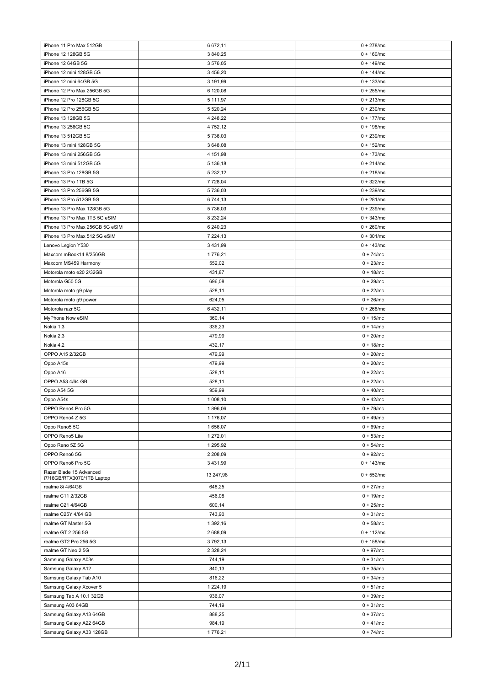| iPhone 11 Pro Max 512GB                             | 6 672,11          | $0 + 278$ /mc              |
|-----------------------------------------------------|-------------------|----------------------------|
| iPhone 12 128GB 5G                                  | 3 840,25          | $0 + 160$ /mc              |
| iPhone 12 64GB 5G                                   | 3576,05           | $0 + 149$ /mc              |
| iPhone 12 mini 128GB 5G                             | 3 456,20          | $0 + 144$ /mc              |
| iPhone 12 mini 64GB 5G                              | 3 191,99          | $0 + 133$ /mc              |
| iPhone 12 Pro Max 256GB 5G                          | 6 120,08          | $0 + 255/mc$               |
| iPhone 12 Pro 128GB 5G                              | 5 111,97          | $0 + 213$ /mc              |
| iPhone 12 Pro 256GB 5G                              | 5 520,24          | $0 + 230$ /mc              |
| iPhone 13 128GB 5G                                  | 4 248,22          | $0 + 177/mc$               |
| iPhone 13 256GB 5G                                  |                   | $0 + 198$ /mc              |
| iPhone 13 512GB 5G                                  | 4 7 5 2, 1 2      |                            |
|                                                     | 5 736,03          | $0 + 239$ /mc              |
| iPhone 13 mini 128GB 5G<br>iPhone 13 mini 256GB 5G  | 3 648,08          | $0 + 152$ /mc              |
|                                                     | 4 151,98          | $0 + 173$ /mc              |
| iPhone 13 mini 512GB 5G                             | 5 136,18          | $0 + 214$ /mc              |
| iPhone 13 Pro 128GB 5G                              | 5 232,12          | $0 + 218$ /mc              |
| iPhone 13 Pro 1TB 5G                                | 7 728,04          | $0 + 322$ /mc              |
| iPhone 13 Pro 256GB 5G                              | 5 736,03          | $0 + 239$ /mc              |
| iPhone 13 Pro 512GB 5G                              | 6 744,13          | $0 + 281/mc$               |
| iPhone 13 Pro Max 128GB 5G                          | 5 736,03          | $0 + 239$ /mc              |
| iPhone 13 Pro Max 1TB 5G eSIM                       | 8 232,24          | $0 + 343/mc$               |
| iPhone 13 Pro Max 256GB 5G eSIM                     | 6 240,23          | $0 + 260$ /mc              |
| iPhone 13 Pro Max 512 5G eSIM                       | 7 224,13          | $0 + 301/mc$               |
| Lenovo Legion Y530                                  | 3 4 3 1 , 9 9     | $0 + 143$ /mc              |
| Maxcom mBook14 8/256GB                              | 1776,21           | $0 + 74/mc$                |
| Maxcom MS459 Harmony                                | 552,02            | $0 + 23/mc$                |
| Motorola moto e20 2/32GB                            | 431,87            | $0 + 18$ /mc               |
| Motorola G50 5G                                     | 696,08            | $0 + 29$ /mc               |
| Motorola moto g9 play                               | 528,11            | $0 + 22/mc$                |
| Motorola moto g9 power                              | 624,05            | $0 + 26$ /mc               |
| Motorola razr 5G                                    | 6432,11           | $0 + 268$ /mc              |
| MyPhone Now eSIM                                    | 360,14            | $0 + 15/mc$                |
| Nokia 1.3                                           | 336,23            | $0 + 14$ /mc               |
| Nokia 2.3                                           | 479,99            | $0 + 20$ /mc               |
| Nokia 4.2                                           | 432,17            | $0 + 18/mc$                |
| OPPO A15 2/32GB                                     | 479,99            | $0 + 20$ /mc               |
| Oppo A15s                                           | 479,99            | $0 + 20$ /mc               |
| Oppo A16                                            | 528,11            | $0 + 22/mc$                |
| OPPO A53 4/64 GB                                    | 528,11            | $0 + 22/mc$                |
| Oppo A54 5G                                         | 959,99            | $0 + 40$ /mc               |
| Oppo A54s                                           | 1 008,10          | $0 + 42/mc$                |
| OPPO Reno4 Pro 5G                                   | 1896,06           | $0 + 79$ /mc               |
| OPPO Reno4 Z 5G                                     | 1 176,07          | $0 + 49$ /mc               |
| Oppo Reno5 5G                                       | 1 656,07          | $0 + 69$ /mc               |
| OPPO Reno5 Lite                                     | 1 272,01          | $0 + 53/mc$                |
|                                                     | 1 295,92          |                            |
| Oppo Reno 5Z 5G                                     |                   | $0 + 54$ /mc               |
| OPPO Reno6 5G                                       | 2 208,09          | $0 + 92/mc$                |
| OPPO Reno6 Pro 5G<br>Razer Blade 15 Advanced        | 3 4 3 1 , 9 9     | $0 + 143$ /mc              |
| i7/16GB/RTX3070/1TB Laptop                          | 13 247,98         | $0 + 552/mc$               |
| realme 8i 4/64GB                                    | 648,25            | $0 + 27/mc$                |
| realme C11 2/32GB                                   | 456,08            | $0 + 19$ /mc               |
| realme C21 4/64GB                                   | 600,14            | $0 + 25/mc$                |
| realme C25Y 4/64 GB                                 | 743,90            | $0 + 31/mc$                |
| realme GT Master 5G                                 | 1 392,16          | $0 + 58$ /mc               |
| realme GT 2 256 5G                                  | 2 688,09          | $0 + 112$ /mc              |
| realme GT2 Pro 256 5G                               | 3792,13           | $0 + 158$ /mc              |
| realme GT Neo 2 5G                                  | 2 3 28, 24        | $0 + 97/mc$                |
| Samsung Galaxy A03s                                 | 744,19            | $0 + 31/mc$                |
|                                                     | 840,13            | $0 + 35/mc$                |
| Samsung Galaxy A12                                  |                   |                            |
| Samsung Galaxy Tab A10                              | 816,22            | $0 + 34/mc$                |
| Samsung Galaxy Xcover 5                             | 1 2 2 4 , 1 9     | $0 + 51/mc$                |
| Samsung Tab A 10.1 32GB                             | 936,07            | $0 + 39$ /mc               |
|                                                     |                   |                            |
| Samsung A03 64GB                                    | 744,19            | $0 + 31/mc$                |
| Samsung Galaxy A13 64GB                             | 888,25            | $0 + 37/mc$                |
| Samsung Galaxy A22 64GB<br>Samsung Galaxy A33 128GB | 984,19<br>1776,21 | $0 + 41/mc$<br>$0 + 74/mc$ |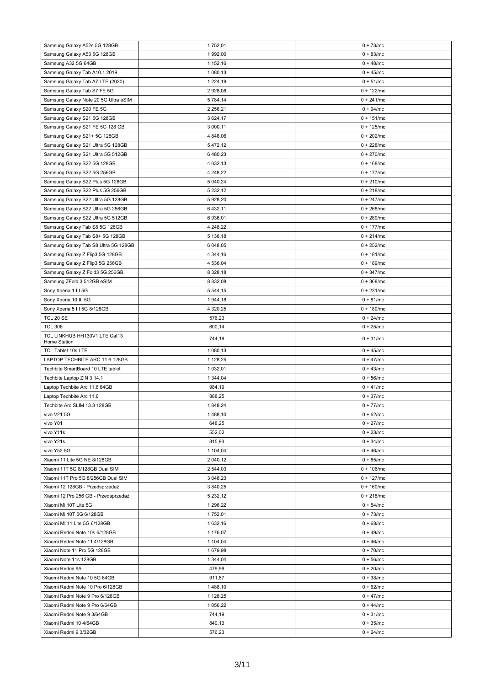| Samsung Galaxy A52s 5G 128GB                    | 1752,01          | $0 + 73/mc$                |
|-------------------------------------------------|------------------|----------------------------|
| Samsung Galaxy A53 5G 128GB                     | 1992,00          | $0 + 83/mc$                |
| Samsung A32 5G 64GB                             | 1 152,16         | $0 + 48$ /mc               |
|                                                 |                  |                            |
| Samsung Galaxy Tab A10.1 2019                   | 1 080,13         | $0 + 45/mc$                |
| Samsung Galaxy Tab A7 LTE (2020)                | 1 2 2 4 , 1 9    | $0 + 51/mc$                |
| Samsung Galaxy Tab S7 FE 5G                     | 2 928,08         | $0 + 122$ /mc              |
| Samsung Galaxy Note 20 5G Ultra eSIM            | 5 784,14         | $0 + 241/mc$               |
| Samsung Galaxy S20 FE 5G                        | 2 2 5 6, 21      | $0 + 94/mc$                |
| Samsung Galaxy S21 5G 128GB                     | 3 624,17         | $0 + 151/mc$               |
| Samsung Galaxy S21 FE 5G 128 GB                 | 3 000,11         | $0 + 125$ /mc              |
| Samsung Galaxy S21+ 5G 128GB                    | 4 848,06         | $0 + 202/mc$               |
| Samsung Galaxy S21 Ultra 5G 128GB               | 5472,12          | $0 + 228$ /mc              |
| Samsung Galaxy S21 Ultra 5G 512GB               | 6480,23          | $0 + 270$ /mc              |
| Samsung Galaxy S22 5G 128GB                     | 4 0 3 2, 1 3     | $0 + 168$ /mc              |
|                                                 |                  |                            |
| Samsung Galaxy S22 5G 256GB                     | 4 248,22         | $0 + 177/mc$               |
| Samsung Galaxy S22 Plus 5G 128GB                | 5 040,24         | $0 + 210$ /mc              |
| Samsung Galaxy S22 Plus 5G 256GB                | 5 232,12         | $0 + 218$ /mc              |
| Samsung Galaxy S22 Ultra 5G 128GB               | 5 928,20         | $0 + 247/mc$               |
| Samsung Galaxy S22 Ultra 5G 256GB               | 6 432,11         | $0 + 268$ /mc              |
| Samsung Galaxy S22 Ultra 5G 512GB               | 6936,01          | $0 + 289$ /mc              |
| Samsung Galaxy Tab S8 5G 128GB                  | 4 248,22         | $0 + 177/mc$               |
| Samsung Galaxy Tab S8+ 5G 128GB                 | 5 136,18         | $0 + 214$ /mc              |
| Samsung Galaxy Tab S8 Ultra 5G 128GB            | 6 048,05         | $0 + 252$ /mc              |
| Samsung Galaxy Z Flip3 5G 128GB                 | 4 344,16         | $0 + 181/mc$               |
| Samsung Galaxy Z Flip3 5G 256GB                 | 4 536,04         | $0 + 189$ /mc              |
|                                                 |                  |                            |
| Samsung Galaxy Z Fold3 5G 256GB                 | 8 328,18         | $0 + 347/mc$               |
| Samsung ZFold 3 512GB eSIM                      | 8 832,08         | $0 + 368/mc$               |
| Sony Xperia 1 III 5G                            | 5 544,15         | $0 + 231/mc$               |
| Sony Xperia 10 III 5G                           | 1944,18          | $0 + 81/mc$                |
| Sony Xperia 5 III 5G 8/128GB                    | 4 3 20, 25       | $0 + 180$ /mc              |
| TCL 20 SE                                       | 576,23           | $0 + 24$ /mc               |
| <b>TCL 306</b>                                  | 600,14           | $0 + 25$ /mc               |
| TCL LINKHUB HH130V1 LTE Cat13<br>Home Station   | 744,19           | $0 + 31/mc$                |
| TCL Tablet 10s LTE                              | 1 080,13         | $0 + 45/mc$                |
| LAPTOP TECHBITE ARC 11.6 128GB                  | 1 128,25         | $0 + 47/mc$                |
| Techbite SmartBoard 10 LTE tablet               | 1 0 3 2, 0 1     | $0 + 43$ /mc               |
| Techbite Laptop ZIN 3 14.1                      | 1 344,04         | $0 + 56$ /mc               |
|                                                 |                  |                            |
| Laptop Techbite Arc 11.6 64GB                   | 984,19           | $0 + 41/mc$                |
| Laptop Techbite Arc 11.6                        | 888,25           | $0 + 37/mc$                |
| Techbite Arc SLIM 13.3 128GB                    | 1848,24          | $0 + 77/mc$                |
| vivo V21 5G                                     | 1488,10          | $0 + 62/mc$                |
| vivo Y01                                        | 648,25           | $0 + 27/mc$                |
| vivo Y11s                                       | 552,02           | $0 + 23/mc$                |
| vivo Y21s                                       | 815,93           | $0 + 34/mc$                |
| vivo Y52 5G                                     | 1 104,04         | $0 + 46$ /mc               |
| Xiaomi 11 Lite 5G NE 8/128GB                    | 2 040,12         | $0 + 85/mc$                |
| Xiaomi 11T 5G 8/128GB Dual SIM                  | 2 544,03         | $0 + 106$ /mc              |
| Xiaomi 11T Pro 5G 8/256GB Dual SIM              | 3 048,23         | $0 + 127$ /mc              |
| Xiaomi 12 128GB - Przedsprzedaż                 | 3 840,25         | $0 + 160$ /mc              |
| Xiaomi 12 Pro 256 GB - Przedsprzedaż            | 5 232,12         | $0 + 218$ /mc              |
| Xiaomi Mi 10T Lite 5G                           | 1 296,22         | $0 + 54/mc$                |
|                                                 |                  |                            |
| Xiaomi Mi 10T 5G 6/128GB                        | 1752,01          | $0 + 73/mc$                |
| Xiaomi MI 11 Lite 5G 6/128GB                    | 1 632,16         | $0 + 68$ /mc               |
| Xiaomi Redmi Note 10s 6/128GB                   | 1 176,07         | $0 + 49$ /mc               |
| Xiaomi Redmi Note 11 4/128GB                    | 1 104,04         | $0 + 46$ /mc               |
| Xiaomi Note 11 Pro 5G 128GB                     | 1679,98          | $0 + 70$ /mc               |
| Xiaomi Note 11s 128GB                           | 1 344,04         | $0 + 56$ /mc               |
| Xiaomi Redmi 9A                                 | 479,99           | $0 + 20$ /mc               |
| Xiaomi Redmi Note 10 5G 64GB                    | 911,87           | $0 + 38/mc$                |
| Xiaomi Redmi Note 10 Pro 6/128GB                | 1488,10          | $0 + 62/mc$                |
| Xiaomi Redmi Note 9 Pro 6/128GB                 | 1 128,25         | $0 + 47/mc$                |
| Xiaomi Redmi Note 9 Pro 6/64GB                  | 1 056,22         | $0 + 44$ /mc               |
| Xiaomi Redmi Note 9 3/64GB                      |                  |                            |
|                                                 |                  |                            |
|                                                 | 744,19           | $0 + 31/mc$                |
| Xiaomi Redmi 10 4/64GB<br>Xiaomi Redmi 9 3/32GB | 840,13<br>576,23 | $0 + 35/mc$<br>$0 + 24/mc$ |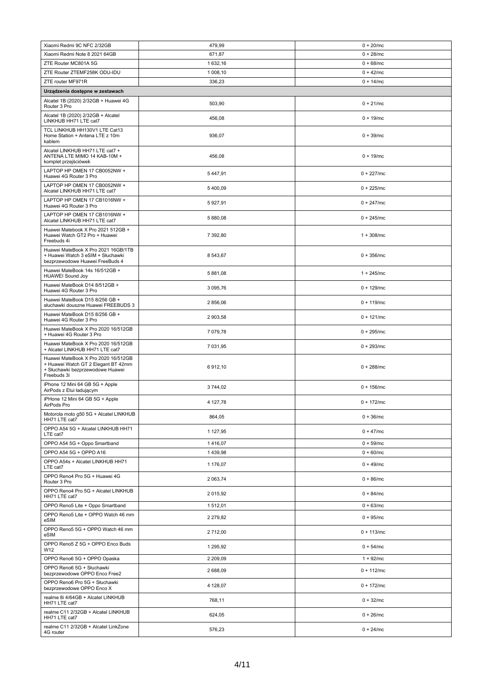| Xiaomi Redmi 9C NFC 2/32GB                                                                                                    | 479,99   | $0 + 20$ /mc  |
|-------------------------------------------------------------------------------------------------------------------------------|----------|---------------|
| Xiaomi Redmi Note 8 2021 64GB                                                                                                 | 671.87   | $0 + 28$ /mc  |
| ZTE Router MC801A 5G                                                                                                          | 1 632,16 | $0 + 68/mc$   |
| ZTE Router ZTEMF258K ODU-IDU                                                                                                  | 1 008,10 | $0 + 42/mc$   |
| ZTE router MF971R                                                                                                             | 336,23   | $0 + 14$ /mc  |
| Urządzenia dostępne w zestawach                                                                                               |          |               |
| Alcatel 1B (2020) 2/32GB + Huawei 4G<br>Router 3 Pro                                                                          | 503,90   | $0 + 21/mc$   |
| Alcatel 1B (2020) 2/32GB + Alcatel<br>LINKHUB HH71 LTE cat7                                                                   | 456,08   | $0 + 19$ /mc  |
| TCL LINKHUB HH130V1 LTE Cat13<br>Home Station + Antena LTE z 10m<br>kablem                                                    | 936,07   | $0 + 39$ /mc  |
| Alcatel LINKHUB HH71 LTE cat7 +<br>ANTENA LTE MIMO 14 KAB-10M +<br>komplet przejściówek                                       | 456,08   | $0 + 19$ /mc  |
| LAPTOP HP OMEN 17 CB0052NW +<br>Huawei 4G Router 3 Pro                                                                        | 5447,91  | $0 + 227$ /mc |
| LAPTOP HP OMEN 17 CB0052NW +<br>Alcatel LINKHUB HH71 LTE cat7                                                                 | 5 400,09 | $0 + 225/mc$  |
| LAPTOP HP OMEN 17 CB1016NW +<br>Huawei 4G Router 3 Pro                                                                        | 5927,91  | $0 + 247/mc$  |
| LAPTOP HP OMEN 17 CB1016NW +<br>Alcatel LINKHUB HH71 LTE cat7                                                                 | 5 880,08 | $0 + 245/mc$  |
| Huawei Matebook X Pro 2021 512GB +<br>Huawei Watch GT2 Pro + Huawei<br>Freebuds 4i                                            | 7 392,80 | $1 + 308$ /mc |
| Huawei MateBook X Pro 2021 16GB/1TB<br>+ Huawei Watch 3 eSIM + Słuchawki<br>bezprzewodowe Huawei FreeBuds 4                   | 8 543,67 | $0 + 356$ /mc |
| Huawei MateBook 14s 16/512GB +<br><b>HUAWEI Sound Joy</b>                                                                     | 5 881,08 | $1 + 245$ /mc |
| Huawei MateBook D14 8/512GB +<br>Huawei 4G Router 3 Pro                                                                       | 3 095,76 | $0 + 129$ /mc |
| Huawei MateBook D15 8/256 GB +<br>słuchawki douszne Huawei FREEBUDS 3                                                         | 2 856,06 | $0 + 119$ /mc |
| Huawei MateBook D15 8/256 GB +<br>Huawei 4G Router 3 Pro                                                                      | 2 903,58 | $0 + 121/mc$  |
| Huawei MateBook X Pro 2020 16/512GB<br>+ Huawei 4G Router 3 Pro                                                               | 7 079,78 | $0 + 295/mc$  |
| Huawei MateBook X Pro 2020 16/512GB<br>+ Alcatel LINKHUB HH71 LTE cat7                                                        | 7 031,95 | $0 + 293$ /mc |
| Huawei MateBook X Pro 2020 16/512GB<br>+ Huawei Watch GT 2 Elegant BT 42mm<br>+ Słuchawki bezprzewodowe Huawei<br>Freebuds 3i | 6912,10  | $0 + 288$ /mc |
| iPhone 12 Mini 64 GB 5G + Apple<br>AirPods z Etui ładującym                                                                   | 3744,02  | $0 + 156$ /mc |
| iPHone 12 Mini 64 GB 5G + Apple<br>AirPods Pro                                                                                | 4 127,78 | $0 + 172$ /mc |
| Motorola moto g50 5G + Alcatel LINKHUB<br>HH71 LTE cat7                                                                       | 864,05   | $0 + 36$ /mc  |
| OPPO A54 5G + Alcatel LINKHUB HH71<br>LTE cat7                                                                                | 1 127,95 | $0 + 47/mc$   |
| OPPO A54 5G + Oppo Smartband                                                                                                  | 1416,07  | $0 + 59$ /mc  |
| OPPO A54 5G + OPPO A16                                                                                                        | 1439,98  | $0 + 60/mc$   |
| OPPO A54s + Alcatel LINKHUB HH71<br>LTE cat7                                                                                  | 1 176,07 | $0 + 49$ /mc  |
| OPPO Reno4 Pro 5G + Huawei 4G<br>Router 3 Pro                                                                                 | 2 063,74 | $0 + 86$ /mc  |
| OPPO Reno4 Pro 5G + Alcatel LINKHUB<br>HH71 LTE cat7                                                                          | 2 015,92 | $0 + 84/mc$   |
| OPPO Reno5 Lite + Oppo Smartband                                                                                              | 1512.01  | $0 + 63/mc$   |
| OPPO Reno5 Lite + OPPO Watch 46 mm<br>eSIM                                                                                    | 2 279,82 | $0 + 95/mc$   |
| OPPO Reno5 5G + OPPO Watch 46 mm<br>eSIM                                                                                      | 2 712,00 | $0 + 113$ /mc |
| OPPO Reno5 Z 5G + OPPO Enco Buds<br>W12                                                                                       | 1 295,92 | $0 + 54$ /mc  |
| OPPO Reno6 5G + OPPO Opaska                                                                                                   | 2 209,09 | $1 + 92/mc$   |
| OPPO Reno6 5G + Słuchawki<br>bezprzewodowe OPPO Enco Free2                                                                    | 2 688,09 | $0 + 112$ /mc |
| OPPO Reno6 Pro 5G + Słuchawki<br>bezprzewodowe OPPO Enco X                                                                    | 4 128,07 | $0 + 172/mc$  |
| realme 8i 4/64GB + Alcatel LINKHUB<br>HH71 LTE cat7                                                                           | 768,11   | $0 + 32/mc$   |
| realme C11 2/32GB + Alcatel LINKHUB<br>HH71 LTE cat7                                                                          | 624,05   | $0 + 26$ /mc  |
| realme C11 2/32GB + Alcatel LinkZone<br>4G router                                                                             | 576,23   | $0 + 24/mc$   |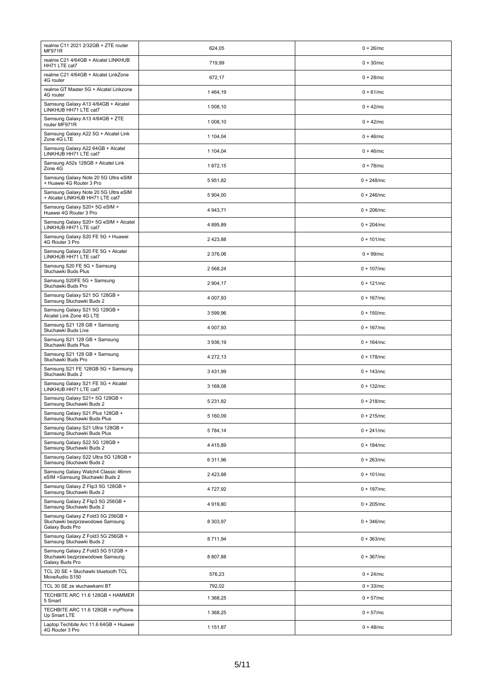| realme C11 2021 2/32GB + ZTE router<br><b>MF971R</b>                                    | 624,05        | $0 + 26$ /mc  |
|-----------------------------------------------------------------------------------------|---------------|---------------|
| realme C21 4/64GB + Alcatel LINKHUB<br>HH71 LTE cat7                                    | 719.99        | $0 + 30/mc$   |
| realme C21 4/64GB + Alcatel LinkZone<br>4G router                                       | 672,17        | $0 + 28$ /mc  |
| realme GT Master 5G + Alcatel Linkzone<br>4G router                                     | 1464,19       | $0 + 61/mc$   |
| Samsung Galaxy A13 4/64GB + Alcatel<br>LINKHUB HH71 LTE cat7                            | 1 008,10      | $0 + 42/mc$   |
| Samsung Galaxy A13 4/64GB + ZTE<br>router MF971R                                        | 1 008,10      | $0 + 42/mc$   |
| Samsung Galaxy A22 5G + Alcatel Link<br>Zone 4G LTE                                     | 1 104,04      | $0 + 46$ /mc  |
| Samsung Galaxy A22 64GB + Alcatel<br>LINKHUB HH71 LTE cat7                              | 1 104,04      | $0 + 46$ /mc  |
| Samsung A52s 128GB + Alcatel Link<br>Zone 4G                                            | 1872,15       | $0 + 78$ /mc  |
| Samsung Galaxy Note 20 5G Ultra eSIM<br>+ Huawei 4G Router 3 Pro                        | 5951,82       | $0 + 248$ /mc |
| Samsung Galaxy Note 20 5G Ultra eSIM<br>+ Alcatel LINKHUB HH71 LTE cat7                 | 5 904,00      | $0 + 246$ /mc |
| Samsung Galaxy S20+ 5G eSIM +<br>Huawei 4G Router 3 Pro                                 | 4 943,71      | $0 + 206$ /mc |
| Samsung Galaxy S20+ 5G eSIM + Alcatel<br>LINKHUB HH71 LTE cat7                          | 4 895,89      | $0 + 204$ /mc |
| Samsung Galaxy S20 FE 5G + Huawei<br>4G Router 3 Pro                                    | 2 423,88      | $0 + 101/mc$  |
| Samsung Galaxy S20 FE 5G + Alcatel<br>LINKHUB HH71 LTE cat7                             | 2 376,06      | $0 + 99/mc$   |
| Samsung S20 FE 5G + Samsung<br>Słuchawki Buds Plus                                      | 2 568,24      | $0 + 107$ /mc |
| Samsung S20FE 5G + Samsung<br>Słuchawki Buds Pro                                        | 2 904,17      | $0 + 121/mc$  |
| Samsung Galaxy S21 5G 128GB +<br>Samsung Słuchawki Buds 2                               | 4 007,93      | $0 + 167/mc$  |
| Samsung Galaxy S21 5G 128GB +<br>Alcatel Link Zone 4G LTE                               | 3 599,96      | $0 + 150$ /mc |
| Samsung S21 128 GB + Samsung<br>Słuchawki Buds Live                                     | 4 007,93      | $0 + 167/mc$  |
| Samsung S21 128 GB + Samsung<br>Słuchawki Buds Plus                                     | 3 936,19      | $0 + 164$ /mc |
| Samsung S21 128 GB + Samsung<br>Słuchawki Buds Pro                                      | 4 272,13      | $0 + 178$ /mc |
| Samsung S21 FE 128GB 5G + Samsung<br>Słuchawki Buds 2                                   | 3 4 3 1 , 9 9 | $0 + 143$ /mc |
| Samsung Galaxy S21 FE 5G + Alcatel<br>LINKHUB HH71 LTE cat7                             | 3 168,08      | $0 + 132$ /mc |
| Samsung Galaxy S21+ 5G 128GB +<br>Samsung Słuchawki Buds 2                              | 5 2 3 1 , 8 2 | $0 + 218$ /mc |
| Samsung Galaxy S21 Plus 128GB +<br>Samsung Słuchawki Buds Plus                          | 5 160,09      | $0 + 215$ /mc |
| Samsung Galaxy S21 Ultra 128GB +<br>Samsung Słuchawki Buds Plus                         | 5 784,14      | $0 + 241/mc$  |
| Samsung Galaxy S22 5G 128GB +<br>Samsung Słuchawki Buds 2                               | 4 4 1 5 , 8 9 | $0 + 184$ /mc |
| Samsung Galaxy S22 Ultra 5G 128GB +<br>Samsung Słuchawki Buds 2                         | 6 311,96      | $0 + 263$ /mc |
| Samsung Galaxy Watch4 Classic 46mm<br>eSIM +Samsung Słuchawki Buds 2                    | 2 423,88      | $0 + 101/mc$  |
| Samsung Galaxy Z Flip3 5G 128GB +<br>Samsung Słuchawki Buds 2                           | 4 727,92      | $0 + 197/mc$  |
| Samsung Galaxy Z Flip3 5G 256GB +<br>Samsung Słuchawki Buds 2                           | 4 919,80      | $0 + 205/mc$  |
| Samsung Galaxy Z Fold3 5G 256GB +<br>Słuchawki bezprzewodowe Samsung<br>Galaxy Buds Pro | 8 303,97      | $0 + 346$ /mc |
| Samsung Galaxy Z Fold3 5G 256GB +<br>Samsung Słuchawki Buds 2                           | 8 711,94      | $0 + 363/mc$  |
| Samsung Galaxy Z Fold3 5G 512GB +<br>Słuchawki bezprzewodowe Samsung<br>Galaxy Buds Pro | 8 807,88      | $0 + 367/mc$  |
| TCL 20 SE + Słuchawki bluetooth TCL<br>MoveAudio S150                                   | 576,23        | $0 + 24/mc$   |
| TCL 30 SE ze słuchawkami BT<br>TECHBITE ARC 11.6 128GB + HAMMER                         | 792,02        | $0 + 33/mc$   |
| 5 Smart<br>TECHBITE ARC 11.6 128GB + myPhone                                            | 1 368,25      | $0 + 57/mc$   |
| Up Smart LTE                                                                            | 1 368,25      | $0 + 57/mc$   |
| Laptop Techbite Arc 11.6 64GB + Huawei<br>4G Router 3 Pro                               | 1 151,87      | $0 + 48$ /mc  |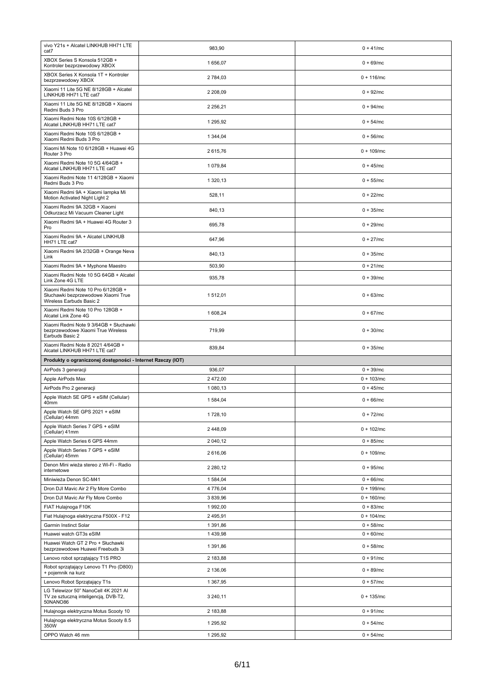| vivo Y21s + Alcatel LINKHUB HH71 LTE<br>cat7                                                          | 983,90               | $0 + 41/mc$                  |
|-------------------------------------------------------------------------------------------------------|----------------------|------------------------------|
| XBOX Series S Konsola 512GB +<br>Kontroler bezprzewodowy XBOX                                         | 1 656,07             | $0 + 69$ /mc                 |
| XBOX Series X Konsola 1T + Kontroler<br>bezprzewodowy XBOX                                            | 2 784,03             | $0 + 116$ /mc                |
| Xiaomi 11 Lite 5G NE 8/128GB + Alcatel<br>LINKHUB HH71 LTE cat7                                       | 2 208.09             | $0 + 92/mc$                  |
| Xiaomi 11 Lite 5G NE 8/128GB + Xiaomi<br>Redmi Buds 3 Pro                                             | 2 2 56, 21           | $0 + 94$ /mc                 |
| Xiaomi Redmi Note 10S 6/128GB +<br>Alcatel LINKHUB HH71 LTE cat7                                      | 1 295.92             | $0 + 54$ /mc                 |
| Xiaomi Redmi Note 10S 6/128GB +<br>Xiaomi Redmi Buds 3 Pro                                            | 1 344,04             | $0 + 56$ /mc                 |
| Xiaomi Mi Note 10 6/128GB + Huawei 4G<br>Router 3 Pro                                                 | 2 615,76             | $0 + 109$ /mc                |
| Xiaomi Redmi Note 10 5G 4/64GB +<br>Alcatel LINKHUB HH71 LTE cat7                                     | 1 079,84             | $0 + 45/mc$                  |
| Xiaomi Redmi Note 11 4/128GB + Xiaomi<br>Redmi Buds 3 Pro                                             | 1 320,13             | $0 + 55/mc$                  |
| Xiaomi Redmi 9A + Xiaomi lampka Mi<br>Motion Activated Night Light 2                                  | 528,11               | $0 + 22/mc$                  |
| Xiaomi Redmi 9A 32GB + Xiaomi<br>Odkurzacz Mi Vacuum Cleaner Light                                    | 840,13               | $0 + 35/mc$                  |
| Xiaomi Redmi 9A + Huawei 4G Router 3<br>Pro                                                           | 695,78               | $0 + 29$ /mc                 |
| Xiaomi Redmi 9A + Alcatel LINKHUB<br>HH71 LTE cat7                                                    | 647,96               | $0 + 27/mc$                  |
| Xiaomi Redmi 9A 2/32GB + Orange Neva<br>Link                                                          | 840,13               | $0 + 35/mc$                  |
| Xiaomi Redmi 9A + Myphone Maestro                                                                     | 503,90               | $0 + 21/mc$                  |
| Xiaomi Redmi Note 10 5G 64GB + Alcatel<br>Link Zone 4G LTE                                            | 935,78               | $0 + 39$ /mc                 |
| Xiaomi Redmi Note 10 Pro 6/128GB +<br>Słuchawki bezprzewodowe Xiaomi True<br>Wireless Earbuds Basic 2 | 1512,01              | $0 + 63/mc$                  |
| Xiaomi Redmi Note 10 Pro 128GB +<br>Alcatel Link Zone 4G                                              | 1 608,24             | $0 + 67/mc$                  |
| Xiaomi Redmi Note 9 3/64GB + Słuchawki<br>bezprzewodowe Xiaomi True Wireless                          | 719,99               | $0 + 30/mc$                  |
| Earbuds Basic 2                                                                                       |                      |                              |
| Xiaomi Redmi Note 8 2021 4/64GB +<br>Alcatel LINKHUB HH71 LTE cat7                                    | 839,84               | $0 + 35/mc$                  |
| Produkty o ograniczonej dostępności - Internet Rzeczy (IOT)                                           |                      |                              |
| AirPods 3 generacji                                                                                   | 936,07               | $0 + 39$ /mc                 |
| Apple AirPods Max                                                                                     | 2 472,00             | $0 + 103$ /mc                |
| AirPods Pro 2 generacji<br>Apple Watch SE GPS + eSIM (Cellular)                                       | 1 080,13             | $0 + 45$ /mc<br>$0 + 66$ /mc |
| 40mm<br>Apple Watch SE GPS 2021 + eSIM                                                                | 1 584,04             | $0 + 72/mc$                  |
| (Cellular) 44mm<br>Apple Watch Series 7 GPS + eSIM                                                    | 1728,10              |                              |
| (Cellular) 41mm<br>Apple Watch Series 6 GPS 44mm                                                      | 2 448,09<br>2 040,12 | $0 + 102/mc$<br>$0 + 85/mc$  |
| Apple Watch Series 7 GPS + eSIM<br>(Cellular) 45mm                                                    | 2 616,06             | $0 + 109$ /mc                |
| Denon Mini wieża stereo z Wi-Fi - Radio<br>internetowe                                                | 2 2 8 0, 1 2         | $0 + 95/mc$                  |
| Miniwieża Denon SC-M41                                                                                | 1 584,04             | $0 + 66$ /mc                 |
| Dron DJI Mavic Air 2 Fly More Combo                                                                   | 4 776,04             | $0 + 199$ /mc                |
| Dron DJI Mavic Air Fly More Combo                                                                     | 3 839.96             | $0 + 160$ /mc                |
| FIAT Hulajnoga F10K                                                                                   | 1992,00              | $0 + 83/mc$                  |
| Fiat Hulajnoga elektryczna F500X - F12                                                                | 2 495,91             | $0 + 104$ /mc                |
| Garmin Instinct Solar                                                                                 | 1 391,86             | $0 + 58$ /mc                 |
| Huawei watch GT3s eSIM                                                                                | 1439,98              | $0 + 60/mc$                  |
| Huawei Watch GT 2 Pro + Słuchawki<br>bezprzewodowe Huawei Freebuds 3i                                 | 1 391,86             | $0 + 58$ /mc                 |
| Lenovo robot sprzątający T1S PRO                                                                      | 2 183,88             | $0 + 91/mc$                  |
| Robot sprzątający Lenovo T1 Pro (D800)<br>+ pojemnik na kurz                                          | 2 136,06             | $0 + 89$ /mc                 |
| Lenovo Robot Sprzątający T1s                                                                          | 1 367,95             | $0 + 57/mc$                  |
| LG Telewizor 50" NanoCell 4K 2021 Al<br>TV ze sztuczną inteligencją, DVB-T2,<br>50NANO86              | 3 240,11             | $0 + 135$ /mc                |
| Hulajnoga elektryczna Motus Scooty 10                                                                 | 2 183,88             | $0 + 91/mc$                  |
| Hulajnoga elektryczna Motus Scooty 8.5<br>350W                                                        | 1 295,92             | $0 + 54/mc$                  |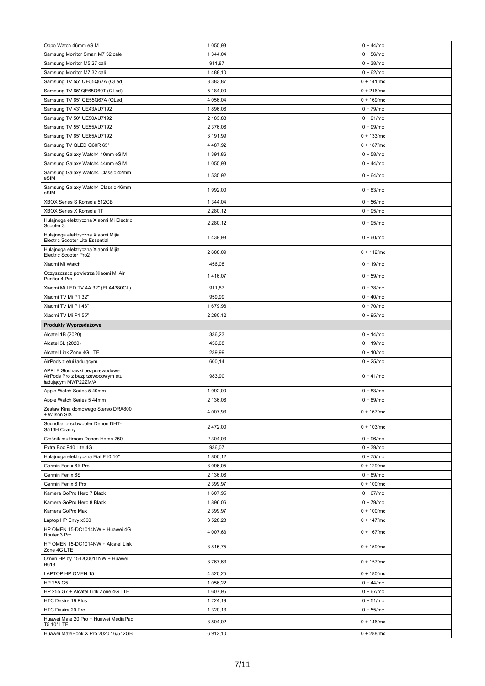| Oppo Watch 46mm eSIM                                                                      | 1 055,93            | $0 + 44$ /mc                   |
|-------------------------------------------------------------------------------------------|---------------------|--------------------------------|
| Samsung Monitor Smart M7 32 cale                                                          | 1 344,04            | $0 + 56$ /mc                   |
| Samsung Monitor M5 27 cali                                                                | 911,87              | $0 + 38$ /mc                   |
| Samsung Monitor M7 32 cali                                                                | 1488,10             | $0 + 62/mc$                    |
| Samsung TV 55" QE55Q67A (QLed)                                                            | 3 3 8 3, 8 7        | $0 + 141/mc$                   |
| Samsung TV 65' QE65Q60T (QLed)                                                            | 5 184,00            | $0 + 216$ /mc                  |
| Samsung TV 65" QE55Q67A (QLed)                                                            | 4 056,04            | $0 + 169$ /mc                  |
| Samsung TV 43" UE43AU7192                                                                 | 1896,06             | $0 + 79$ /mc                   |
| Samsung TV 50" UE50AU7192                                                                 | 2 183,88            | $0 + 91/mc$                    |
| Samsung TV 55" UE55AU7192                                                                 | 2 376,06            | $0 + 99/mc$                    |
| Samsung TV 65" UE65AU7192                                                                 | 3 191,99            | $0 + 133$ /mc                  |
| Samsung TV QLED Q60R 65"                                                                  | 4 4 8 7,92          | $0 + 187/mc$                   |
| Samsung Galaxy Watch4 40mm eSIM                                                           | 1 391,86            | $0 + 58$ /mc                   |
| Samsung Galaxy Watch4 44mm eSIM                                                           | 1 055,93            | $0 + 44/mc$                    |
| Samsung Galaxy Watch4 Classic 42mm<br>eSIM                                                | 1 535,92            | $0 + 64/mc$                    |
| Samsung Galaxy Watch4 Classic 46mm<br>eSIM                                                | 1992,00             | $0 + 83/mc$                    |
| XBOX Series S Konsola 512GB                                                               | 1 344,04            | $0 + 56$ /mc                   |
| XBOX Series X Konsola 1T                                                                  | 2 2 8 0, 1 2        | $0 + 95/mc$                    |
| Hulajnoga elektryczna Xiaomi Mi Electric<br>Scooter 3                                     | 2 2 8 0, 1 2        | $0 + 95/mc$                    |
| Hulajnoga elektryczna Xiaomi Mijia<br>Electric Scooter Lite Essential                     | 1439,98             | $0 + 60/mc$                    |
| Hulajnoga elektryczna Xiaomi Mijia<br>Electric Scooter Pro2                               | 2 688,09            | $0 + 112$ /mc                  |
| Xiaomi Mi Watch                                                                           | 456,08              | $0 + 19$ /mc                   |
| Oczyszczacz powietrza Xiaomi Mi Air<br>Purifier 4 Pro                                     | 1416,07             | $0 + 59$ /mc                   |
| Xiaomi Mi LED TV 4A 32" (ELA4380GL)                                                       | 911,87              | $0 + 38/mc$                    |
| Xiaomi TV Mi P1 32"                                                                       | 959,99              | $0 + 40$ /mc                   |
| Xiaomi TV Mi P1 43"                                                                       | 1679,98             | $0 + 70$ /mc                   |
| Xiaomi TV Mi P1 55"                                                                       | 2 2 8 0, 1 2        | $0 + 95$ /mc                   |
| <b>Produkty Wyprzedażowe</b>                                                              |                     |                                |
| Alcatel 1B (2020)                                                                         | 336,23              | $0 + 14$ /mc                   |
| Alcatel 3L (2020)                                                                         | 456,08              | $0 + 19$ /mc                   |
| Alcatel Link Zone 4G LTE                                                                  | 239,99              | $0 + 10$ /mc                   |
| AirPods z etui ładującym                                                                  | 600,14              | $0 + 25/mc$                    |
| APPLE Słuchawki bezprzewodowe<br>AirPods Pro z bezprzewodowym etui<br>ładującym MWP22ZM/A | 983,90              | $0 + 41$ /mc                   |
| Apple Watch Series 5 40mm                                                                 | 1992,00             | $0 + 83$ /mc                   |
| Apple Watch Series 5 44mm                                                                 | 2 136,06            | $0 + 89$ /mc                   |
| Zestaw Kina domowego Stereo DRA800<br>+ Wilson SIX                                        | 4 007,93            | $0 + 167$ /mc                  |
| Soundbar z subwoofer Denon DHT-<br>S516H Czarny                                           | 2 472,00            | $0 + 103$ /mc                  |
| Głośnik multiroom Denon Home 250                                                          | 2 304,03            | $0 + 96$ /mc                   |
| Extra Box P40 Lite 4G                                                                     | 936,07              | $0 + 39/mc$                    |
| Hulajnoga elektryczna Fiat F10 10"                                                        | 1 800,12            | $0 + 75/mc$                    |
| Garmin Fenix 6X Pro                                                                       | 3 096,05            | $0 + 129$ /mc                  |
| Garmin Fenix 6S                                                                           | 2 136,06            | $0 + 89$ /mc                   |
| Garmin Fenix 6 Pro                                                                        | 2 3 9 9, 97         | $0 + 100$ /mc                  |
| Kamera GoPro Hero 7 Black                                                                 | 1 607,95            | $0 + 67/mc$                    |
| Kamera GoPro Hero 8 Black                                                                 | 1896,06             | $0 + 79$ /mc                   |
| Kamera GoPro Max                                                                          | 2 3 9 9, 97         | $0 + 100$ /mc                  |
| Laptop HP Envy x360<br>HP OMEN 15-DC1014NW + Huawei 4G                                    | 3 528,23            | $0 + 147/mc$                   |
| Router 3 Pro                                                                              | 4 007,63            | $0 + 167/mc$                   |
| HP OMEN 15-DC1014NW + Alcatel Link<br>Zone 4G LTE                                         | 3815,75             | $0 + 159$ /mc                  |
| Omen HP by 15-DC0011NW + Huawei<br>B618                                                   | 3767,63             | $0 + 157/mc$                   |
| LAPTOP HP OMEN 15                                                                         | 4 3 20, 25          | $0 + 180$ /mc                  |
| HP 255 G5                                                                                 | 1 056,22            | $0 + 44/mc$                    |
| HP 255 G7 + Alcatel Link Zone 4G LTE                                                      | 1 607,95            | $0 + 67$ /mc                   |
| HTC Desire 19 Plus                                                                        | 1 2 2 4 , 1 9       | $0 + 51/mc$                    |
| HTC Desire 20 Pro                                                                         | 1 320,13            | $0 + 55/mc$                    |
| Huawei Mate 20 Pro + Huawei MediaPad                                                      |                     |                                |
| T5 10" LTE<br>Huawei MateBook X Pro 2020 16/512GB                                         | 3 504,02<br>6912,10 | $0 + 146$ /mc<br>$0 + 288$ /mc |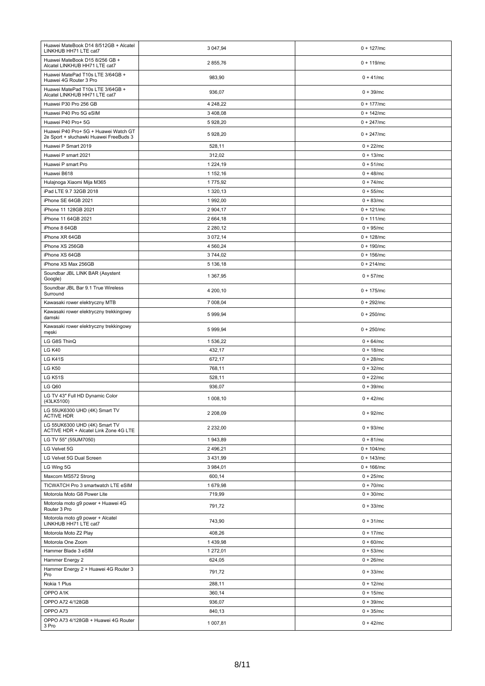| Huawei MateBook D14 8/512GB + Alcatel<br>LINKHUB HH71 LTE cat7                 | 3 047,94           | $0 + 127$ /mc                |
|--------------------------------------------------------------------------------|--------------------|------------------------------|
| Huawei MateBook D15 8/256 GB +<br>Alcatel LINKHUB HH71 LTE cat7                | 2855,76            | $0 + 119$ /mc                |
| Huawei MatePad T10s LTE 3/64GB +<br>Huawei 4G Router 3 Pro                     | 983,90             | $0 + 41/mc$                  |
| Huawei MatePad T10s LTE 3/64GB +<br>Alcatel LINKHUB HH71 LTE cat7              | 936,07             | $0 + 39/mc$                  |
| Huawei P30 Pro 256 GB                                                          | 4 248,22           | $0 + 177/mc$                 |
| Huawei P40 Pro 5G eSIM                                                         | 3 408,08           | $0 + 142$ /mc                |
| Huawei P40 Pro+ 5G                                                             | 5 928,20           | $0 + 247/mc$                 |
| Huawei P40 Pro+ 5G + Huawei Watch GT<br>2e Sport + słuchawki Huawei FreeBuds 3 | 5 928,20           | $0 + 247/mc$                 |
| Huawei P Smart 2019                                                            | 528,11             | $0 + 22/mc$                  |
| Huawei P smart 2021                                                            | 312,02             | $0 + 13/mc$                  |
| Huawei P smart Pro                                                             | 1 2 2 4 , 1 9      | $0 + 51/mc$                  |
| Huawei B618                                                                    | 1 152,16           | $0 + 48$ /mc                 |
| Hulajnoga Xiaomi Mija M365                                                     | 1775,92            | $0 + 74$ /mc                 |
| iPad LTE 9.7 32GB 2018                                                         | 1 320,13           | $0 + 55/mc$                  |
| iPhone SE 64GB 2021                                                            | 1 992,00           | $0 + 83/mc$                  |
| iPhone 11 128GB 2021                                                           | 2 904,17           | $0 + 121/mc$                 |
| iPhone 11 64GB 2021                                                            | 2 664,18           | $0 + 111/mc$                 |
| iPhone 8 64GB                                                                  | 2 2 8 0, 1 2       | $0 + 95/mc$                  |
| iPhone XR 64GB                                                                 | 3 072,14           | $0 + 128$ /mc                |
| iPhone XS 256GB                                                                | 4 560,24           | $0 + 190$ /mc                |
| iPhone XS 64GB                                                                 | 3744,02            | $0 + 156$ /mc                |
| iPhone XS Max 256GB                                                            | 5 136,18           | $0 + 214$ /mc                |
| Soundbar JBL LINK BAR (Asystent<br>Google)                                     | 1 367,95           | $0 + 57/mc$                  |
| Soundbar JBL Bar 9.1 True Wireless<br>Surround                                 | 4 200,10           | $0 + 175$ /mc                |
| Kawasaki rower elektryczny MTB                                                 | 7 008,04           | $0 + 292/mc$                 |
| Kawasaki rower elektryczny trekkingowy<br>damski                               | 5 999,94           | $0 + 250$ /mc                |
| Kawasaki rower elektryczny trekkingowy<br>męski                                | 5 999,94           | $0 + 250$ /mc                |
|                                                                                |                    |                              |
| LG G8S ThinQ                                                                   | 1 536,22           | $0 + 64/mc$                  |
| <b>LG K40</b>                                                                  | 432,17             | $0 + 18$ /mc                 |
| <b>LG K41S</b>                                                                 | 672,17             | $0 + 28/mc$                  |
| <b>LG K50</b>                                                                  | 768,11             | $0 + 32/mc$                  |
| <b>LG K51S</b>                                                                 | 528,11             | $0 + 22/mc$                  |
| <b>LG Q60</b><br>LG TV 43" Full HD Dynamic Color                               | 936,07<br>1 008,10 | $0 + 39$ /mc<br>$0 + 42/mc$  |
| (43LK5100)<br>LG 55UK6300 UHD (4K) Smart TV                                    | 2 208,09           | $0 + 92/mc$                  |
| <b>ACTIVE HDR</b><br>LG 55UK6300 UHD (4K) Smart TV                             | 2 2 3 2,00         | $0 + 93/mc$                  |
| ACTIVE HDR + Alcatel Link Zone 4G LTE                                          |                    |                              |
| LG TV 55" (55UM7050)                                                           | 1943,89            | $0 + 81/mc$                  |
| LG Velvet 5G<br>LG Velvet 5G Dual Screen                                       | 2 496,21           | $0 + 104$ /mc                |
|                                                                                | 3 4 3 1 , 9 9      | $0 + 143$ /mc                |
| LG Wing 5G                                                                     | 3 984,01<br>600,14 | $0 + 166$ /mc<br>$0 + 25/mc$ |
| Maxcom MS572 Strong                                                            |                    | $0 + 70$ /mc                 |
| TICWATCH Pro 3 smartwatch LTE eSIM<br>Motorola Moto G8 Power Lite              | 1 679,98           |                              |
| Motorola moto g9 power + Huawei 4G<br>Router 3 Pro                             | 719,99<br>791,72   | $0 + 30/mc$<br>$0 + 33/mc$   |
| Motorola moto g9 power + Alcatel<br>LINKHUB HH71 LTE cat7                      | 743,90             | $0 + 31/mc$                  |
| Motorola Moto Z2 Play                                                          | 408,26             | $0 + 17$ /mc                 |
| Motorola One Zoom                                                              | 1439,98            | $0 + 60$ /mc                 |
| Hammer Blade 3 eSIM                                                            | 1 272,01           | $0 + 53/mc$                  |
| Hammer Energy 2                                                                | 624,05             | $0 + 26$ /mc                 |
| Hammer Energy 2 + Huawei 4G Router 3<br>Pro                                    | 791,72             | $0 + 33/mc$                  |
| Nokia 1 Plus                                                                   | 288,11             | $0 + 12/mc$                  |
| OPPO A1K                                                                       | 360,14             | $0 + 15$ /mc                 |
| OPPO A72 4/128GB                                                               | 936,07             | $0 + 39/mc$                  |
| OPPO A73                                                                       | 840,13             | $0 + 35/mc$                  |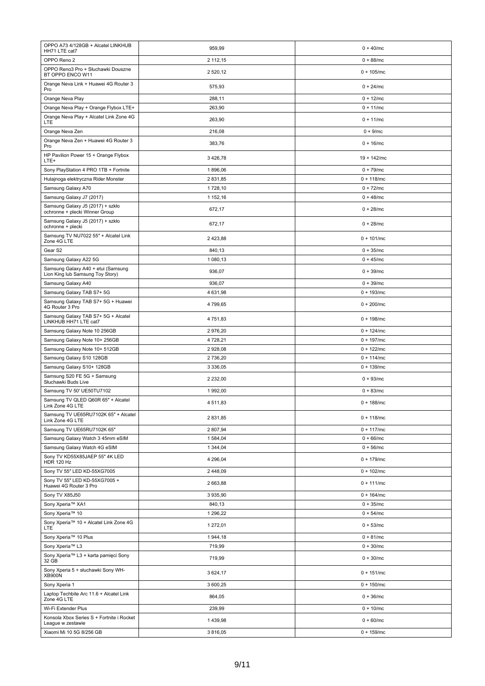| OPPO A73 4/128GB + Alcatel LINKHUB<br>HH71 LTE cat7                    | 959,99                    | $0 + 40$ /mc                 |
|------------------------------------------------------------------------|---------------------------|------------------------------|
| OPPO Reno 2                                                            | 2 112,15                  | $0 + 88$ /mc                 |
| OPPO Reno3 Pro + Słuchawki Douszne<br>BT OPPO ENCO W11                 | 2 520,12                  | $0 + 105$ /mc                |
| Orange Neva Link + Huawei 4G Router 3<br>Pro                           | 575,93                    | $0 + 24$ /mc                 |
| Orange Neva Play                                                       | 288,11                    | $0 + 12/mc$                  |
| Orange Neva Play + Orange Flybox LTE+                                  | 263,90                    | $0 + 11/mc$                  |
| Orange Neva Play + Alcatel Link Zone 4G<br>LTE                         | 263,90                    | $0 + 11/mc$                  |
| Orange Neva Zen                                                        | 216,08                    | $0 + 9/mc$                   |
| Orange Neva Zen + Huawei 4G Router 3<br>Pro                            | 383,76                    | $0 + 16$ /mc                 |
| HP Pavilion Power 15 + Orange Flybox<br>LTE+                           | 3 4 26, 78                | $19 + 142$ /mc               |
| Sony PlayStation 4 PRO 1TB + Fortnite                                  | 1896,06                   | $0 + 79$ /mc                 |
| Hulajnoga elektryczna Rider Monster                                    | 2 831,85                  | $0 + 118$ /mc                |
| Samsung Galaxy A70                                                     | 1728,10                   | $0 + 72/mc$                  |
| Samsung Galaxy J7 (2017)                                               | 1 152,16                  | $0 + 48$ /mc                 |
| Samsung Galaxy J5 (2017) + szkło<br>ochronne + plecki Winner Group     | 672,17                    | $0 + 28$ /mc                 |
| Samsung Galaxy J5 (2017) + szkło<br>ochronne + plecki                  | 672,17                    | $0 + 28$ /mc                 |
| Samsung TV NU7022 55" + Alcatel Link<br>Zone 4G LTE                    | 2 423,88                  | $0 + 101/mc$                 |
| Gear <sub>S2</sub>                                                     | 840,13                    | $0 + 35/mc$                  |
| Samsung Galaxy A22 5G                                                  | 1 080,13                  | $0 + 45$ /mc                 |
| Samsung Galaxy A40 + etui (Samsung<br>Lion King lub Samsung Toy Story) | 936,07                    | $0 + 39$ /mc                 |
| Samsung Galaxy A40                                                     | 936,07                    | $0 + 39$ /mc                 |
| Samsung Galaxy TAB S7+ 5G                                              | 4 631,98                  | $0 + 193$ /mc                |
| Samsung Galaxy TAB S7+ 5G + Huawei<br>4G Router 3 Pro                  | 4 799,65                  | $0 + 200$ /mc                |
| Samsung Galaxy TAB S7+ 5G + Alcatel<br>LINKHUB HH71 LTE cat7           | 4 751,83                  | $0 + 198$ /mc                |
| Samsung Galaxy Note 10 256GB                                           | 2976,20                   | $0 + 124$ /mc                |
| Samsung Galaxy Note 10+ 256GB                                          | 4 728,21                  | $0 + 197/mc$                 |
| Samsung Galaxy Note 10+ 512GB                                          | 2 928,08                  | $0 + 122$ /mc                |
| Samsung Galaxy S10 128GB                                               | 2 736,20<br>3 3 3 6 , 0 5 | $0 + 114$ /mc                |
| Samsung Galaxy S10+ 128GB<br>Samsung S20 FE 5G + Samsung               | 2 2 3 2,00                | $0 + 139$ /mc<br>$0 + 93/mc$ |
| Słuchawki Buds Live<br>Samsung TV 50' UE50TU7102                       | 1992,00                   | $0 + 83/mc$                  |
| Samsung TV QLED Q60R 65" + Alcatel<br>Link Zone 4G LTE                 | 4 511.83                  | $0 + 188$ /mc                |
| Samsung TV UE65RU7102K 65" + Alcatel<br>Link Zone 4G LTE               | 2 831,85                  | $0 + 118$ /mc                |
| Samsung TV UE65RU7102K 65"                                             | 2 807,94                  | $0 + 117$ /mc                |
| Samsung Galaxy Watch 3 45mm eSIM                                       | 1 584,04                  | $0 + 66$ /mc                 |
| Samsung Galaxy Watch 4G eSIM                                           | 1 344,04                  | $0 + 56$ /mc                 |
| Sony TV KD55X85JAEP 55" 4K LED<br><b>HDR 120 Hz</b>                    | 4 296,04                  | $0 + 179$ /mc                |
| Sony TV 55" LED KD-55XG7005                                            | 2 448,09                  | $0 + 102/mc$                 |
| Sony TV 55" LED KD-55XG7005 +<br>Huawei 4G Router 3 Pro                | 2 663,88                  | $0 + 111/mc$                 |
| Sony TV X85J50                                                         | 3 935,90                  | $0 + 164$ /mc                |
| Sony Xperia™ XA1                                                       | 840,13                    | $0 + 35/mc$                  |
| Sony Xperia™ 10                                                        | 1 296,22                  | $0 + 54/mc$                  |
| Sony Xperia™ 10 + Alcatel Link Zone 4G<br>LTE                          | 1 272,01                  | $0 + 53/mc$                  |
| Sony Xperia™ 10 Plus                                                   | 1944,18                   | $0 + 81/mc$                  |
| Sony Xperia™ L3                                                        | 719,99                    | $0 + 30/mc$                  |
| Sony Xperia™ L3 + karta pamięci Sony<br>32 GB                          | 719,99                    | $0 + 30/mc$                  |
| Sony Xperia 5 + słuchawki Sony WH-<br><b>XB900N</b>                    | 3 624,17                  | $0 + 151/mc$                 |
| Sony Xperia 1                                                          | 3 600,25                  | $0 + 150$ /mc                |
| Laptop Techbite Arc 11.6 + Alcatel Link<br>Zone 4G LTE                 | 864,05                    | $0 + 36$ /mc                 |
| Wi-Fi Extender Plus                                                    | 239,99                    | $0 + 10/mc$                  |
| Konsola Xbox Series S + Fortnite i Rocket<br>League w zestawie         | 1439,98                   | $0 + 60/mc$                  |
| Xiaomi Mi 10 5G 8/256 GB                                               | 3 8 16,05                 | $0 + 159$ /mc                |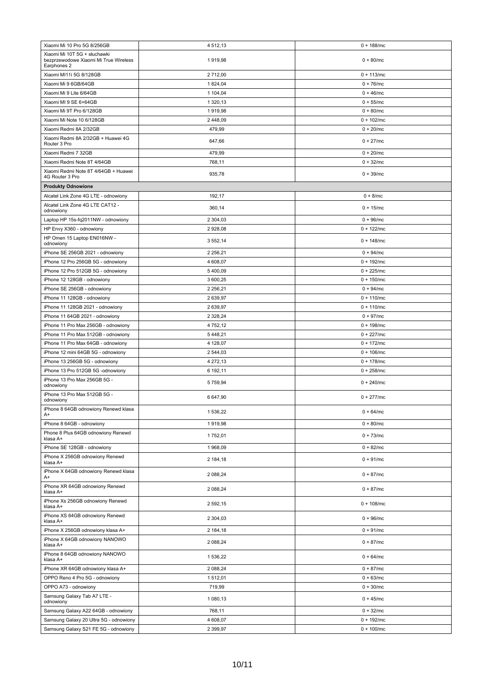| Xiaomi Mi 10 Pro 5G 8/256GB                          | 4 5 1 2 , 1 3 | $0 + 188$ /mc |
|------------------------------------------------------|---------------|---------------|
| Xiaomi Mi 10T 5G + słuchawki                         |               |               |
| bezprzewodowe Xiaomi Mi True Wireless<br>Earphones 2 | 1919,98       | $0 + 80$ /mc  |
| Xiaomi MI11i 5G 8/128GB                              | 2712,00       | $0 + 113$ /mc |
| Xiaomi Mi 9 6GB/64GB                                 | 1824,04       | $0 + 76$ /mc  |
| Xiaomi Mi 9 Lite 6/64GB                              | 1 104,04      | $0 + 46$ /mc  |
| Xiaomi MI 9 SE 6+64GB                                | 1 320,13      | $0 + 55/mc$   |
| Xiaomi Mi 9T Pro 6/128GB                             | 1919,98       | $0 + 80$ /mc  |
| Xiaomi Mi Note 10 6/128GB                            | 2 448,09      | $0 + 102/mc$  |
| Xiaomi Redmi 8A 2/32GB                               | 479,99        | $0 + 20$ /mc  |
| Xiaomi Redmi 8A 2/32GB + Huawei 4G                   |               |               |
| Router 3 Pro                                         | 647,66        | $0 + 27/mc$   |
| Xiaomi Redmi 7 32GB                                  | 479,99        | $0 + 20$ /mc  |
| Xiaomi Redmi Note 8T 4/64GB                          | 768,11        | $0 + 32/mc$   |
| Xiaomi Redmi Note 8T 4/64GB + Huawei                 | 935,78        | $0 + 39/mc$   |
| 4G Router 3 Pro                                      |               |               |
| <b>Produkty Odnowione</b>                            |               |               |
| Alcatel Link Zone 4G LTE - odnowiony                 | 192,17        | $0 + 8/mc$    |
| Alcatel Link Zone 4G LTE CAT12 -<br>odnowiony        | 360,14        | $0 + 15$ /mc  |
| Laptop HP 15s-fq2011NW - odnowiony                   | 2 304,03      | $0 + 96$ /mc  |
| HP Envy X360 - odnowiony                             | 2 928,08      | $0 + 122$ /mc |
| HP Omen 15 Laptop EN016NW -                          |               | $0 + 148$ /mc |
| odnowiony                                            | 3 552,14      |               |
| iPhone SE 256GB 2021 - odnowiony                     | 2 2 5 6, 21   | $0 + 94/mc$   |
| iPhone 12 Pro 256GB 5G - odnowiony                   | 4 608,07      | $0 + 192$ /mc |
| iPhone 12 Pro 512GB 5G - odnowiony                   | 5400,09       | $0 + 225$ /mc |
| iPhone 12 128GB - odnowiony                          | 3 600,25      | $0 + 150$ /mc |
| iPhone SE 256GB - odnowiony                          | 2 2 5 6, 21   | $0 + 94/mc$   |
| iPhone 11 128GB - odnowiony                          | 2 639,97      | $0 + 110$ /mc |
| iPhone 11 128GB 2021 - odnowiony                     | 2 639,97      | $0 + 110$ /mc |
| iPhone 11 64GB 2021 - odnowiony                      | 2 3 28, 24    | $0 + 97/mc$   |
| iPhone 11 Pro Max 256GB - odnowiony                  | 4 752,12      | $0 + 198$ /mc |
| iPhone 11 Pro Max 512GB - odnowiony                  | 5448,21       | $0 + 227$ /mc |
| iPhone 11 Pro Max 64GB - odnowiony                   | 4 128,07      | $0 + 172$ /mc |
| iPhone 12 mini 64GB 5G - odnowiony                   | 2 544,03      | $0 + 106$ /mc |
| iPhone 13 256GB 5G - odnowiony                       | 4 272,13      | $0 + 178$ /mc |
| iPhone 13 Pro 512GB 5G -odnowiony                    | 6 192,11      | $0 + 258$ /mc |
| iPhone 13 Pro Max 256GB 5G -<br>odnowiony            | 5 7 5 9, 9 4  | $0 + 240$ /mc |
| iPhone 13 Pro Max 512GB 5G -<br>odnowiony            | 6 647,90      | $0 + 277$ /mc |
| iPhone 8 64GB odnowiony Renewd klasa<br>A+           | 1 536,22      | $0 + 64/mc$   |
| iPhone 8 64GB - odnowiony                            | 1919,98       | $0 + 80/mc$   |
| Phone 8 Plus 64GB odnowiony Renewd                   | 1752,01       | $0 + 73$ /mc  |
| klasa A+                                             |               |               |
| iPhone SE 128GB - odnowiony                          | 1968,09       | $0 + 82/mc$   |
| iPhone X 256GB odnowiony Renewd<br>klasa A+          | 2 184,18      | $0 + 91/mc$   |
| iPhone X 64GB odnowiony Renewd klasa<br>A+           | 2 088,24      | $0 + 87/mc$   |
| iPhone XR 64GB odnowiony Renewd<br>klasa A+          | 2 088,24      | $0 + 87/mc$   |
| iPhone Xs 256GB odnowiony Renewd<br>klasa A+         | 2 592,15      | $0 + 108$ /mc |
| iPhone XS 64GB odnowiony Renewd<br>klasa A+          | 2 304,03      | $0 + 96$ /mc  |
| iPhone X 256GB odnowiony klasa A+                    | 2 184,18      | $0 + 91/mc$   |
| iPhone X 64GB odnowiony NANOWO<br>klasa A+           | 2 088,24      | $0 + 87/mc$   |
| iPhone 8 64GB odnowiony NANOWO<br>klasa A+           | 1 536,22      | $0 + 64$ /mc  |
| iPhone XR 64GB odnowiony klasa A+                    | 2 088,24      | $0 + 87/mc$   |
| OPPO Reno 4 Pro 5G - odnowiony                       | 1 512,01      | $0 + 63/mc$   |
| OPPO A73 - odnowiony                                 | 719,99        | $0 + 30/mc$   |
| Samsung Galaxy Tab A7 LTE -<br>odnowiony             | 1 080,13      | $0 + 45/mc$   |
| Samsung Galaxy A22 64GB - odnowiony                  | 768,11        | $0 + 32/mc$   |
| Samsung Galaxy 20 Ultra 5G - odnowiony               | 4 608,07      | $0 + 192/mc$  |
| Samsung Galaxy S21 FE 5G - odnowiony                 | 2 3 9 9, 97   | $0 + 100$ /mc |
|                                                      |               |               |